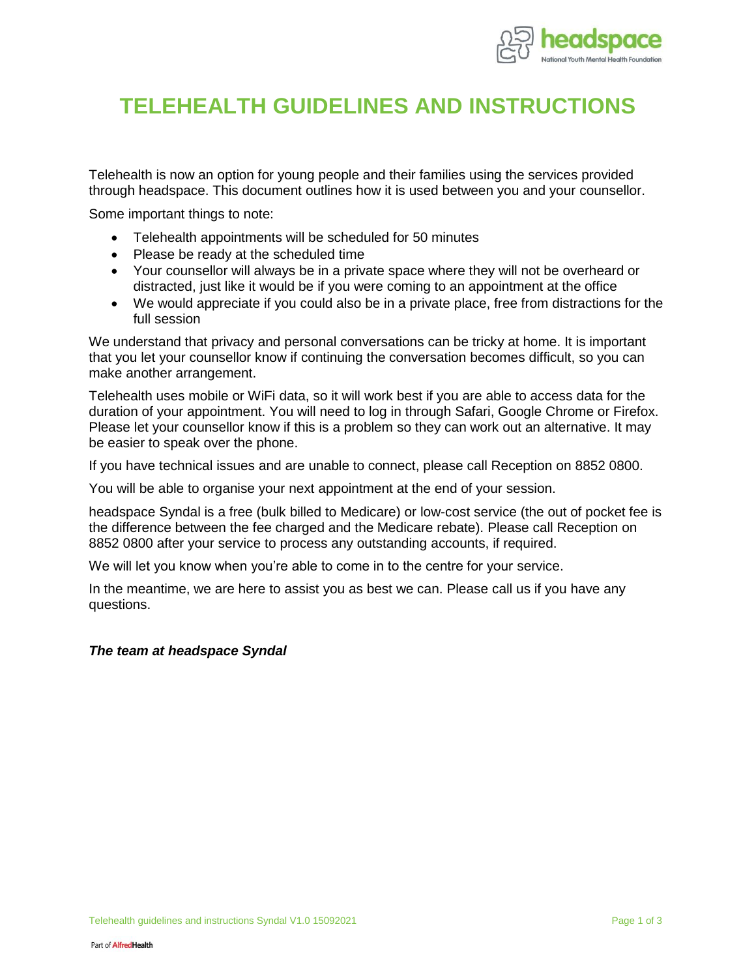

## **TELEHEALTH GUIDELINES AND INSTRUCTIONS**

Telehealth is now an option for young people and their families using the services provided through headspace. This document outlines how it is used between you and your counsellor.

Some important things to note:

- Telehealth appointments will be scheduled for 50 minutes
- Please be ready at the scheduled time
- Your counsellor will always be in a private space where they will not be overheard or distracted, just like it would be if you were coming to an appointment at the office
- We would appreciate if you could also be in a private place, free from distractions for the full session

We understand that privacy and personal conversations can be tricky at home. It is important that you let your counsellor know if continuing the conversation becomes difficult, so you can make another arrangement.

Telehealth uses mobile or WiFi data, so it will work best if you are able to access data for the duration of your appointment. You will need to log in through Safari, Google Chrome or Firefox. Please let your counsellor know if this is a problem so they can work out an alternative. It may be easier to speak over the phone.

If you have technical issues and are unable to connect, please call Reception on 8852 0800.

You will be able to organise your next appointment at the end of your session.

headspace Syndal is a free (bulk billed to Medicare) or low-cost service (the out of pocket fee is the difference between the fee charged and the Medicare rebate). Please call Reception on 8852 0800 after your service to process any outstanding accounts, if required.

We will let you know when you're able to come in to the centre for your service.

In the meantime, we are here to assist you as best we can. Please call us if you have any questions.

#### *The team at headspace Syndal*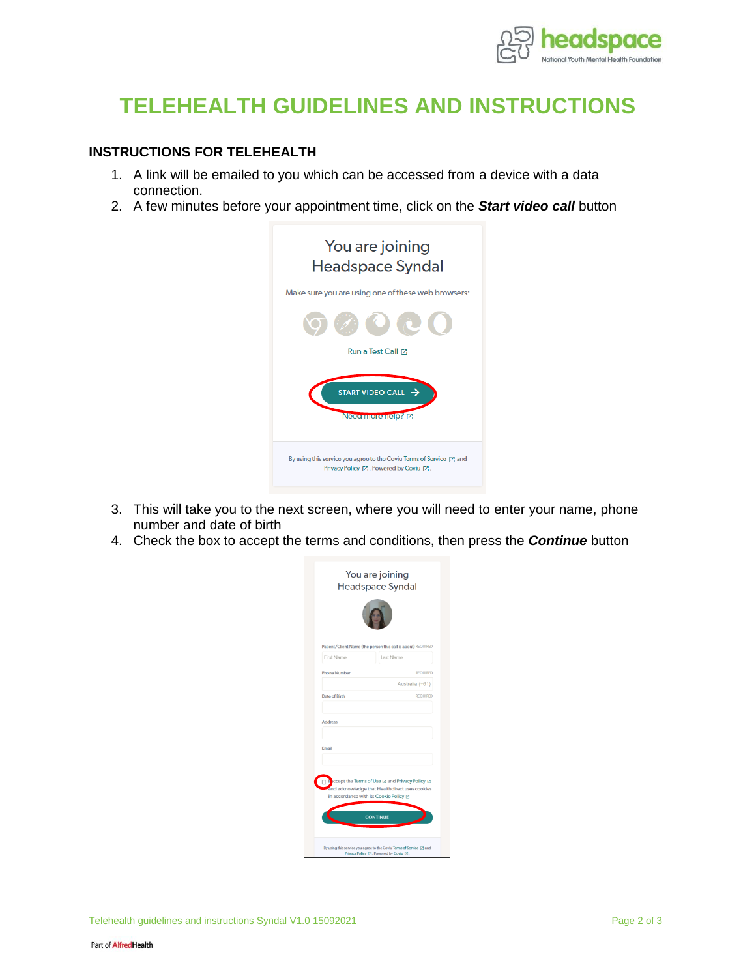

# **TELEHEALTH GUIDELINES AND INSTRUCTIONS**

#### **INSTRUCTIONS FOR TELEHEALTH**

- 1. A link will be emailed to you which can be accessed from a device with a data connection.
- 2. A few minutes before your appointment time, click on the *Start video call* button



- 3. This will take you to the next screen, where you will need to enter your name, phone number and date of birth
- 4. Check the box to accept the terms and conditions, then press the *Continue* button